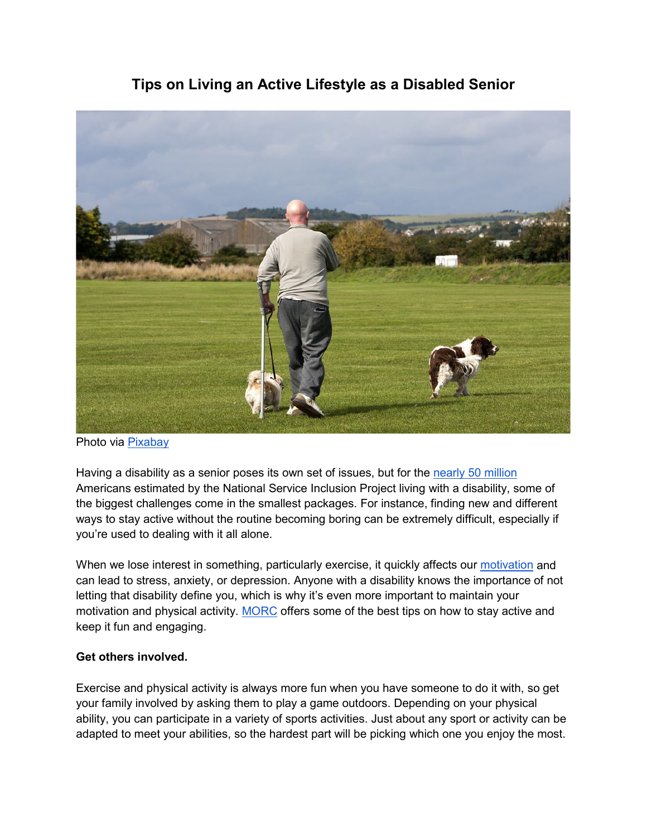## **Tips on Living an Active Lifestyle as a Disabled Senior**



Photo via [Pixabay](https://cdn.pixabay.com/photo/2013/11/28/12/05/dog-220424_960_720.jpg)

Having a disability as a senior poses its own set of issues, but for the [nearly 50 million](http://www.serviceandinclusion.org/index.php?page=basic) Americans estimated by the National Service Inclusion Project living with a disability, some of the biggest challenges come in the smallest packages. For instance, finding new and different ways to stay active without the routine becoming boring can be extremely difficult, especially if you're used to dealing with it all alone.

When we lose interest in something, particularly exercise, it quickly affects our [motivation](https://newzhook.com/story/some-fitness-motivation-tips-for-people-with-disabilities/) and can lead to stress, anxiety, or depression. Anyone with a disability knows the importance of not letting that disability define you, which is why it's even more important to maintain your motivation and physical activity. [MORC](https://www.morcinc.org/) offers some of the best tips on how to stay active and keep it fun and engaging.

## **Get others involved.**

Exercise and physical activity is always more fun when you have someone to do it with, so get your family involved by asking them to play a game outdoors. Depending on your physical ability, you can participate in a variety of sports activities. Just about any sport or activity can be adapted to meet your abilities, so the hardest part will be picking which one you enjoy the most.